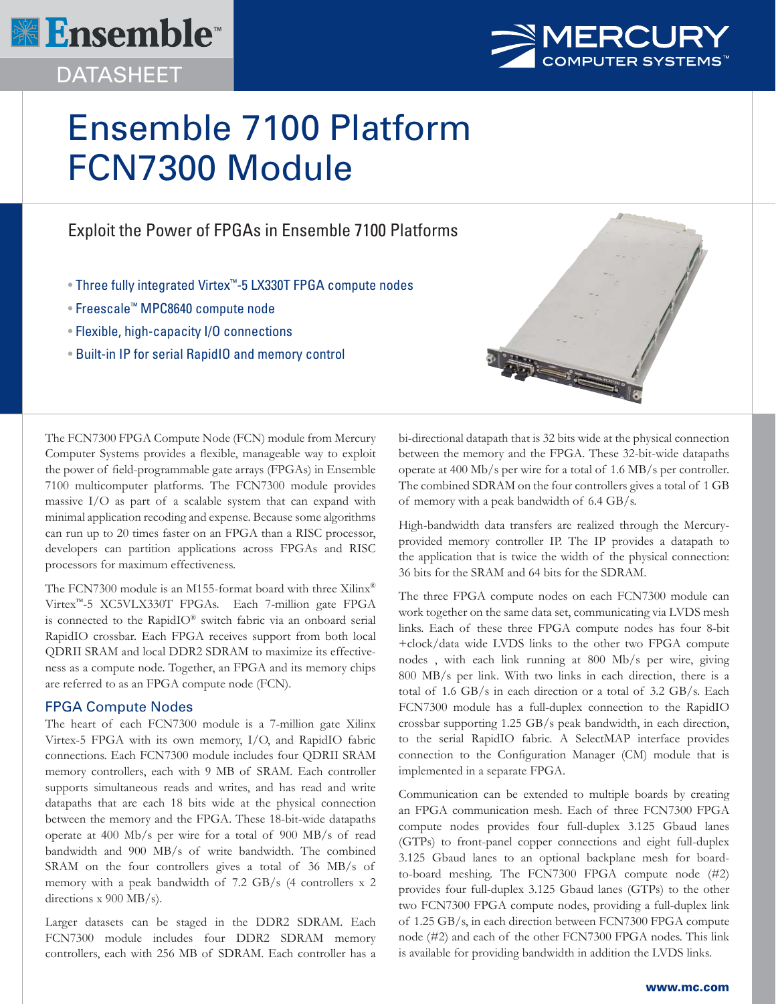

DATASHEET



# Ensemble 7100 Platform FCN7300 Module

# Exploit the Power of FPGAs in Ensemble 7100 Platforms

- Three fully integrated Virtex™-5 LX330T FPGA compute nodes
- Freescale™ MPC8640 compute node
- Flexible, high-capacity I/O connections
- Built-in IP for serial RapidIO and memory control



The FCN7300 FPGA Compute Node (FCN) module from Mercury Computer Systems provides a flexible, manageable way to exploit the power of field-programmable gate arrays (FPGAs) in Ensemble 7100 multicomputer platforms. The FCN7300 module provides massive I/O as part of a scalable system that can expand with minimal application recoding and expense. Because some algorithms can run up to 20 times faster on an FPGA than a RISC processor, developers can partition applications across FPGAs and RISC processors for maximum effectiveness.

The FCN7300 module is an M155-format board with three Xilinx<sup>®</sup> Virtex™-5 XC5VLX330T FPGAs. Each 7-million gate FPGA is connected to the RapidIO® switch fabric via an onboard serial RapidIO crossbar. Each FPGA receives support from both local QDRII SRAM and local DDR2 SDRAM to maximize its effectiveness as a compute node. Together, an FPGA and its memory chips are referred to as an FPGA compute node (FCN).

## FPGA Compute Nodes

The heart of each FCN7300 module is a 7-million gate Xilinx Virtex-5 FPGA with its own memory, I/O, and RapidIO fabric connections. Each FCN7300 module includes four QDRII SRAM memory controllers, each with 9 MB of SRAM. Each controller supports simultaneous reads and writes, and has read and write datapaths that are each 18 bits wide at the physical connection between the memory and the FPGA. These 18-bit-wide datapaths operate at 400 Mb/s per wire for a total of 900 MB/s of read bandwidth and 900 MB/s of write bandwidth. The combined SRAM on the four controllers gives a total of 36 MB/s of memory with a peak bandwidth of 7.2 GB/s (4 controllers x 2 directions x 900 MB/s).

Larger datasets can be staged in the DDR2 SDRAM. Each FCN7300 module includes four DDR2 SDRAM memory controllers, each with 256 MB of SDRAM. Each controller has a

bi-directional datapath that is 32 bits wide at the physical connection between the memory and the FPGA. These 32-bit-wide datapaths operate at 400 Mb/s per wire for a total of 1.6 MB/s per controller. The combined SDRAM on the four controllers gives a total of 1 GB of memory with a peak bandwidth of 6.4 GB/s.

High-bandwidth data transfers are realized through the Mercuryprovided memory controller IP. The IP provides a datapath to the application that is twice the width of the physical connection: 36 bits for the SRAM and 64 bits for the SDRAM.

The three FPGA compute nodes on each FCN7300 module can work together on the same data set, communicating via LVDS mesh links. Each of these three FPGA compute nodes has four 8-bit +clock/data wide LVDS links to the other two FPGA compute nodes , with each link running at 800 Mb/s per wire, giving 800 MB/s per link. With two links in each direction, there is a total of 1.6 GB/s in each direction or a total of 3.2 GB/s. Each FCN7300 module has a full-duplex connection to the RapidIO crossbar supporting 1.25 GB/s peak bandwidth, in each direction, to the serial RapidIO fabric. A SelectMAP interface provides connection to the Configuration Manager (CM) module that is implemented in a separate FPGA.

Communication can be extended to multiple boards by creating an FPGA communication mesh. Each of three FCN7300 FPGA compute nodes provides four full-duplex 3.125 Gbaud lanes (GTPs) to front-panel copper connections and eight full-duplex 3.125 Gbaud lanes to an optional backplane mesh for boardto-board meshing. The FCN7300 FPGA compute node (#2) provides four full-duplex 3.125 Gbaud lanes (GTPs) to the other two FCN7300 FPGA compute nodes, providing a full-duplex link of 1.25 GB/s, in each direction between FCN7300 FPGA compute node (#2) and each of the other FCN7300 FPGA nodes. This link is available for providing bandwidth in addition the LVDS links.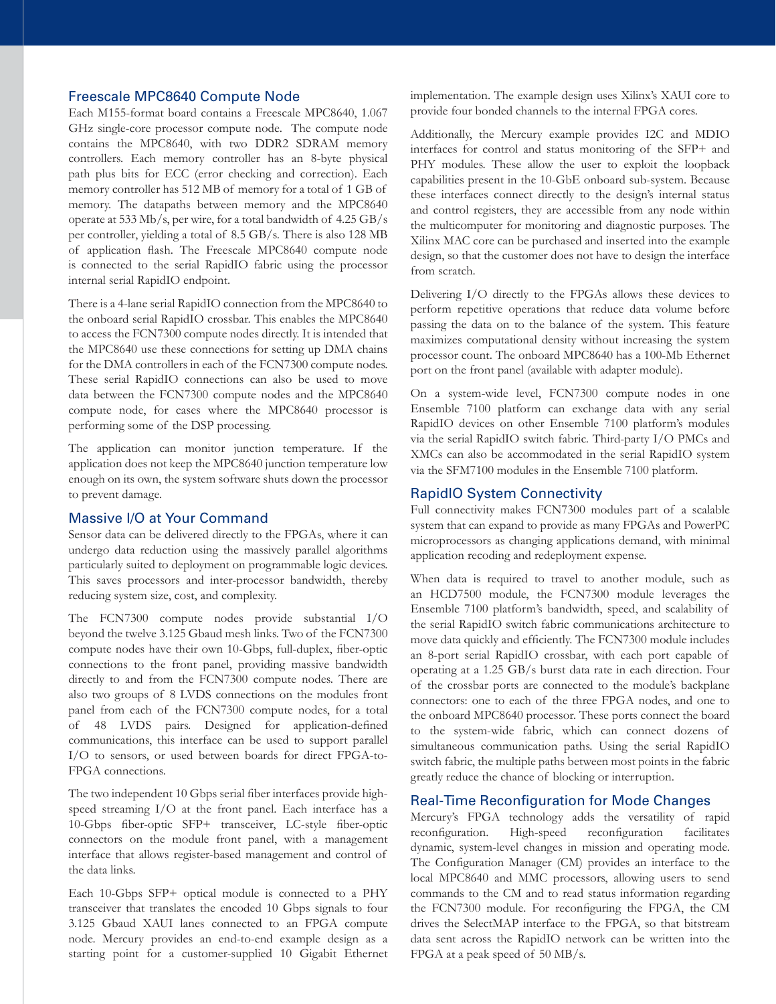#### Freescale MPC8640 Compute Node

Each M155-format board contains a Freescale MPC8640, 1.067 GHz single-core processor compute node. The compute node contains the MPC8640, with two DDR2 SDRAM memory controllers. Each memory controller has an 8-byte physical path plus bits for ECC (error checking and correction). Each memory controller has 512 MB of memory for a total of 1 GB of memory. The datapaths between memory and the MPC8640 operate at 533 Mb/s, per wire, for a total bandwidth of 4.25 GB/s per controller, yielding a total of 8.5 GB/s. There is also 128 MB of application flash. The Freescale MPC8640 compute node is connected to the serial RapidIO fabric using the processor internal serial RapidIO endpoint.

There is a 4-lane serial RapidIO connection from the MPC8640 to the onboard serial RapidIO crossbar. This enables the MPC8640 to access the FCN7300 compute nodes directly. It is intended that the MPC8640 use these connections for setting up DMA chains for the DMA controllers in each of the FCN7300 compute nodes. These serial RapidIO connections can also be used to move data between the FCN7300 compute nodes and the MPC8640 compute node, for cases where the MPC8640 processor is performing some of the DSP processing.

The application can monitor junction temperature. If the application does not keep the MPC8640 junction temperature low enough on its own, the system software shuts down the processor to prevent damage.

#### Massive I/O at Your Command

Sensor data can be delivered directly to the FPGAs, where it can undergo data reduction using the massively parallel algorithms particularly suited to deployment on programmable logic devices. This saves processors and inter-processor bandwidth, thereby reducing system size, cost, and complexity.

The FCN7300 compute nodes provide substantial I/O beyond the twelve 3.125 Gbaud mesh links. Two of the FCN7300 compute nodes have their own 10-Gbps, full-duplex, fiber-optic connections to the front panel, providing massive bandwidth directly to and from the FCN7300 compute nodes. There are also two groups of 8 LVDS connections on the modules front panel from each of the FCN7300 compute nodes, for a total of 48 LVDS pairs. Designed for application-defined communications, this interface can be used to support parallel I/O to sensors, or used between boards for direct FPGA-to-FPGA connections.

The two independent 10 Gbps serial fiber interfaces provide highspeed streaming I/O at the front panel. Each interface has a 10-Gbps fiber-optic SFP+ transceiver, LC-style fiber-optic connectors on the module front panel, with a management interface that allows register-based management and control of the data links.

Each 10-Gbps SFP+ optical module is connected to a PHY transceiver that translates the encoded 10 Gbps signals to four 3.125 Gbaud XAUI lanes connected to an FPGA compute node. Mercury provides an end-to-end example design as a starting point for a customer-supplied 10 Gigabit Ethernet

implementation. The example design uses Xilinx's XAUI core to provide four bonded channels to the internal FPGA cores.

Additionally, the Mercury example provides I2C and MDIO interfaces for control and status monitoring of the SFP+ and PHY modules. These allow the user to exploit the loopback capabilities present in the 10-GbE onboard sub-system. Because these interfaces connect directly to the design's internal status and control registers, they are accessible from any node within the multicomputer for monitoring and diagnostic purposes. The Xilinx MAC core can be purchased and inserted into the example design, so that the customer does not have to design the interface from scratch.

Delivering I/O directly to the FPGAs allows these devices to perform repetitive operations that reduce data volume before passing the data on to the balance of the system. This feature maximizes computational density without increasing the system processor count. The onboard MPC8640 has a 100-Mb Ethernet port on the front panel (available with adapter module).

On a system-wide level, FCN7300 compute nodes in one Ensemble 7100 platform can exchange data with any serial RapidIO devices on other Ensemble 7100 platform's modules via the serial RapidIO switch fabric. Third-party I/O PMCs and XMCs can also be accommodated in the serial RapidIO system via the SFM7100 modules in the Ensemble 7100 platform.

#### RapidIO System Connectivity

Full connectivity makes FCN7300 modules part of a scalable system that can expand to provide as many FPGAs and PowerPC microprocessors as changing applications demand, with minimal application recoding and redeployment expense.

When data is required to travel to another module, such as an HCD7500 module, the FCN7300 module leverages the Ensemble 7100 platform's bandwidth, speed, and scalability of the serial RapidIO switch fabric communications architecture to move data quickly and efficiently. The FCN7300 module includes an 8-port serial RapidIO crossbar, with each port capable of operating at a 1.25 GB/s burst data rate in each direction. Four of the crossbar ports are connected to the module's backplane connectors: one to each of the three FPGA nodes, and one to the onboard MPC8640 processor. These ports connect the board to the system-wide fabric, which can connect dozens of simultaneous communication paths. Using the serial RapidIO switch fabric, the multiple paths between most points in the fabric greatly reduce the chance of blocking or interruption.

#### Real-Time Reconfiguration for Mode Changes

Mercury's FPGA technology adds the versatility of rapid reconfiguration. High-speed reconfiguration facilitates dynamic, system-level changes in mission and operating mode. The Configuration Manager (CM) provides an interface to the local MPC8640 and MMC processors, allowing users to send commands to the CM and to read status information regarding the FCN7300 module. For reconfiguring the FPGA, the CM drives the SelectMAP interface to the FPGA, so that bitstream data sent across the RapidIO network can be written into the FPGA at a peak speed of 50 MB/s.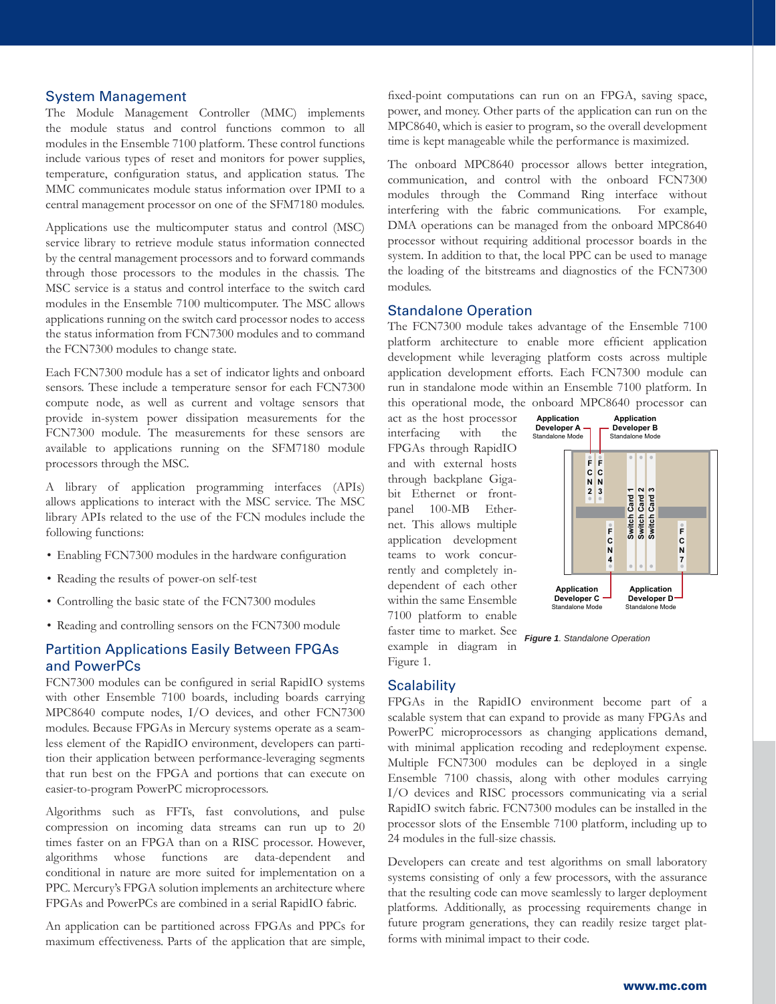#### System Management

The Module Management Controller (MMC) implements the module status and control functions common to all modules in the Ensemble 7100 platform. These control functions include various types of reset and monitors for power supplies, temperature, configuration status, and application status. The MMC communicates module status information over IPMI to a central management processor on one of the SFM7180 modules.

Applications use the multicomputer status and control (MSC) service library to retrieve module status information connected by the central management processors and to forward commands through those processors to the modules in the chassis. The MSC service is a status and control interface to the switch card modules in the Ensemble 7100 multicomputer. The MSC allows applications running on the switch card processor nodes to access the status information from FCN7300 modules and to command the FCN7300 modules to change state.

Each FCN7300 module has a set of indicator lights and onboard sensors. These include a temperature sensor for each FCN7300 compute node, as well as current and voltage sensors that provide in-system power dissipation measurements for the FCN7300 module. The measurements for these sensors are available to applications running on the SFM7180 module processors through the MSC.

A library of application programming interfaces (APIs) allows applications to interact with the MSC service. The MSC library APIs related to the use of the FCN modules include the following functions:

- Enabling FCN7300 modules in the hardware configuration
- Reading the results of power-on self-test
- Controlling the basic state of the FCN7300 modules
- Reading and controlling sensors on the FCN7300 module

#### Partition Applications Easily Between FPGAs and PowerPCs

FCN7300 modules can be configured in serial RapidIO systems with other Ensemble 7100 boards, including boards carrying MPC8640 compute nodes, I/O devices, and other FCN7300 modules. Because FPGAs in Mercury systems operate as a seamless element of the RapidIO environment, developers can partition their application between performance-leveraging segments that run best on the FPGA and portions that can execute on easier-to-program PowerPC microprocessors.

Algorithms such as FFTs, fast convolutions, and pulse compression on incoming data streams can run up to 20 times faster on an FPGA than on a RISC processor. However, algorithms whose functions are data-dependent and conditional in nature are more suited for implementation on a PPC. Mercury's FPGA solution implements an architecture where FPGAs and PowerPCs are combined in a serial RapidIO fabric.

An application can be partitioned across FPGAs and PPCs for maximum effectiveness. Parts of the application that are simple, fixed-point computations can run on an FPGA, saving space, power, and money. Other parts of the application can run on the MPC8640, which is easier to program, so the overall development time is kept manageable while the performance is maximized.

The onboard MPC8640 processor allows better integration, communication, and control with the onboard FCN7300 modules through the Command Ring interface without interfering with the fabric communications. For example, DMA operations can be managed from the onboard MPC8640 processor without requiring additional processor boards in the system. In addition to that, the local PPC can be used to manage the loading of the bitstreams and diagnostics of the FCN7300 modules.

#### Standalone Operation

The FCN7300 module takes advantage of the Ensemble 7100 platform architecture to enable more efficient application development while leveraging platform costs across multiple application development efforts. Each FCN7300 module can run in standalone mode within an Ensemble 7100 platform. In this operational mode, the onboard MPC8640 processor can

act as the host processor interfacing with the FPGAs through RapidIO and with external hosts through backplane Gigabit Ethernet or frontpanel 100-MB Ethernet. This allows multiple application development teams to work concurrently and completely independent of each other within the same Ensemble 7100 platform to enable faster time to market. See example in diagram in



#### **Scalability**

Figure 1.

FPGAs in the RapidIO environment become part of a scalable system that can expand to provide as many FPGAs and PowerPC microprocessors as changing applications demand, with minimal application recoding and redeployment expense. Multiple FCN7300 modules can be deployed in a single Ensemble 7100 chassis, along with other modules carrying I/O devices and RISC processors communicating via a serial RapidIO switch fabric. FCN7300 modules can be installed in the processor slots of the Ensemble 7100 platform, including up to 24 modules in the full-size chassis.

Developers can create and test algorithms on small laboratory systems consisting of only a few processors, with the assurance that the resulting code can move seamlessly to larger deployment platforms. Additionally, as processing requirements change in future program generations, they can readily resize target platforms with minimal impact to their code.